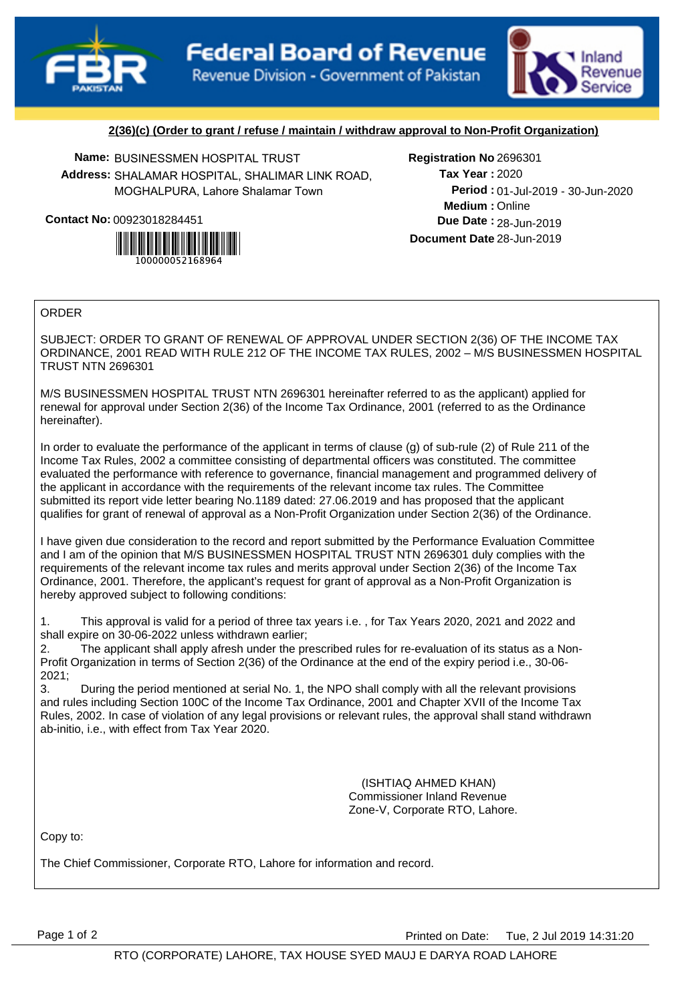



## **2(36)(c) (Order to grant / refuse / maintain / withdraw approval to Non-Profit Organization)**

**Name:** BUSINESSMEN HOSPITAL TRUST **Registration No Address:** SHALAMAR HOSPITAL, SHALIMAR LINK ROAD, MOGHALPURA, Lahore Shalamar Town

**Contact No:**00923018284451



## Registration No 2696301

**Medium :** Online 01-Jul-2019 - 30-Jun-2020 **Period : Due Date : 28-Jun-2019 Document Date** 28-Jun-2019 2020 **Tax Year :**

## ORDER

SUBJECT: ORDER TO GRANT OF RENEWAL OF APPROVAL UNDER SECTION 2(36) OF THE INCOME TAX ORDINANCE, 2001 READ WITH RULE 212 OF THE INCOME TAX RULES, 2002 – M/S BUSINESSMEN HOSPITAL TRUST NTN 2696301

M/S BUSINESSMEN HOSPITAL TRUST NTN 2696301 hereinafter referred to as the applicant) applied for renewal for approval under Section 2(36) of the Income Tax Ordinance, 2001 (referred to as the Ordinance hereinafter).

In order to evaluate the performance of the applicant in terms of clause (g) of sub-rule (2) of Rule 211 of the Income Tax Rules, 2002 a committee consisting of departmental officers was constituted. The committee evaluated the performance with reference to governance, financial management and programmed delivery of the applicant in accordance with the requirements of the relevant income tax rules. The Committee submitted its report vide letter bearing No.1189 dated: 27.06.2019 and has proposed that the applicant qualifies for grant of renewal of approval as a Non-Profit Organization under Section 2(36) of the Ordinance.

I have given due consideration to the record and report submitted by the Performance Evaluation Committee and I am of the opinion that M/S BUSINESSMEN HOSPITAL TRUST NTN 2696301 duly complies with the requirements of the relevant income tax rules and merits approval under Section 2(36) of the Income Tax Ordinance, 2001. Therefore, the applicant's request for grant of approval as a Non-Profit Organization is hereby approved subject to following conditions:

1. This approval is valid for a period of three tax years i.e. , for Tax Years 2020, 2021 and 2022 and shall expire on 30-06-2022 unless withdrawn earlier;

2. The applicant shall apply afresh under the prescribed rules for re-evaluation of its status as a Non-Profit Organization in terms of Section 2(36) of the Ordinance at the end of the expiry period i.e., 30-06- 2021;

3. During the period mentioned at serial No. 1, the NPO shall comply with all the relevant provisions and rules including Section 100C of the Income Tax Ordinance, 2001 and Chapter XVII of the Income Tax Rules, 2002. In case of violation of any legal provisions or relevant rules, the approval shall stand withdrawn ab-initio, i.e., with effect from Tax Year 2020.

> (ISHTIAQ AHMED KHAN) Commissioner Inland Revenue Zone-V, Corporate RTO, Lahore.

Copy to:

The Chief Commissioner, Corporate RTO, Lahore for information and record.

Page 1 of 2 **Printed on Date:** Tue, 2 Jul 2019 14:31:20